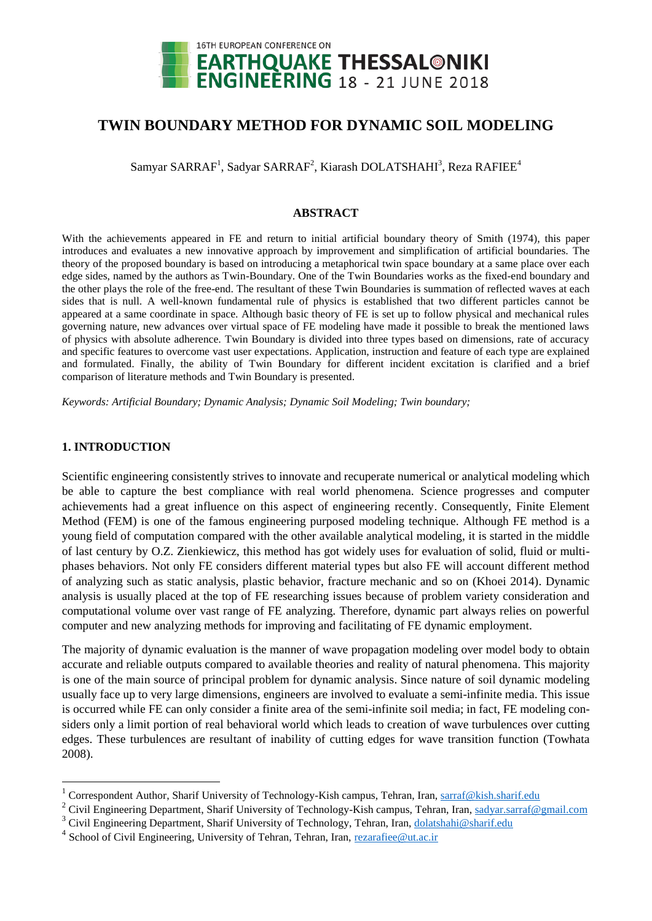

# **TWIN BOUNDARY METHOD FOR DYNAMIC SOIL MODELING**

Samyar SARRAF<sup>1</sup>, Sadyar SARRAF<sup>2</sup>, Kiarash DOLATSHAHI<sup>3</sup>, Reza RAFIEE<sup>4</sup>

### **ABSTRACT**

With the achievements appeared in FE and return to initial artificial boundary theory of Smith (1974), this paper introduces and evaluates a new innovative approach by improvement and simplification of artificial boundaries. The theory of the proposed boundary is based on introducing a metaphorical twin space boundary at a same place over each edge sides, named by the authors as Twin-Boundary. One of the Twin Boundaries works as the fixed-end boundary and the other plays the role of the free-end. The resultant of these Twin Boundaries is summation of reflected waves at each sides that is null. A well-known fundamental rule of physics is established that two different particles cannot be appeared at a same coordinate in space. Although basic theory of FE is set up to follow physical and mechanical rules governing nature, new advances over virtual space of FE modeling have made it possible to break the mentioned laws of physics with absolute adherence. Twin Boundary is divided into three types based on dimensions, rate of accuracy and specific features to overcome vast user expectations. Application, instruction and feature of each type are explained and formulated. Finally, the ability of Twin Boundary for different incident excitation is clarified and a brief comparison of literature methods and Twin Boundary is presented.

*Keywords: Artificial Boundary; Dynamic Analysis; Dynamic Soil Modeling; Twin boundary;*

### **1. INTRODUCTION**

1

Scientific engineering consistently strives to innovate and recuperate numerical or analytical modeling which be able to capture the best compliance with real world phenomena. Science progresses and computer achievements had a great influence on this aspect of engineering recently. Consequently, Finite Element Method (FEM) is one of the famous engineering purposed modeling technique. Although FE method is a young field of computation compared with the other available analytical modeling, it is started in the middle of last century by O.Z. Zienkiewicz, this method has got widely uses for evaluation of solid, fluid or multiphases behaviors. Not only FE considers different material types but also FE will account different method of analyzing such as static analysis, plastic behavior, fracture mechanic and so on (Khoei 2014). Dynamic analysis is usually placed at the top of FE researching issues because of problem variety consideration and computational volume over vast range of FE analyzing. Therefore, dynamic part always relies on powerful computer and new analyzing methods for improving and facilitating of FE dynamic employment.

The majority of dynamic evaluation is the manner of wave propagation modeling over model body to obtain accurate and reliable outputs compared to available theories and reality of natural phenomena. This majority is one of the main source of principal problem for dynamic analysis. Since nature of soil dynamic modeling usually face up to very large dimensions, engineers are involved to evaluate a semi-infinite media. This issue is occurred while FE can only consider a finite area of the semi-infinite soil media; in fact, FE modeling considers only a limit portion of real behavioral world which leads to creation of wave turbulences over cutting edges. These turbulences are resultant of inability of cutting edges for wave transition function (Towhata 2008).

<sup>&</sup>lt;sup>1</sup> Correspondent Author, Sharif University of Technology-Kish campus, Tehran, Iran, [sa](mailto:s)rraf@kish.sharif.edu

<sup>&</sup>lt;sup>2</sup> Civil Engineering Department, Sharif University of Technology-Kish campus, Tehran, Iran, sadyar.sarraf@gmail.com

<sup>&</sup>lt;sup>3</sup> Civil Engineering Department, Sharif University of Technology, Tehran, Iran, [dolatshahi@sharif.edu](mailto:dolatshahi@sharif.edu)

<sup>&</sup>lt;sup>4</sup> School of Civil Engineering, University of Tehran, Tehran, Iran, [re](mailto:r)zarafiee@ut.ac.ir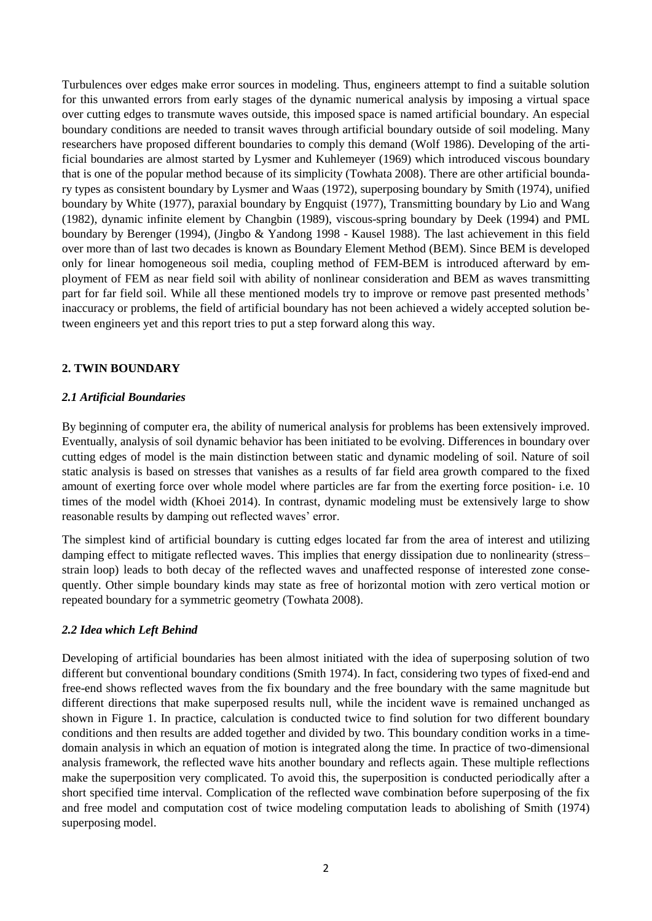Turbulences over edges make error sources in modeling. Thus, engineers attempt to find a suitable solution for this unwanted errors from early stages of the dynamic numerical analysis by imposing a virtual space over cutting edges to transmute waves outside, this imposed space is named artificial boundary. An especial boundary conditions are needed to transit waves through artificial boundary outside of soil modeling. Many researchers have proposed different boundaries to comply this demand (Wolf 1986). Developing of the artificial boundaries are almost started by Lysmer and Kuhlemeyer (1969) which introduced viscous boundary that is one of the popular method because of its simplicity (Towhata 2008). There are other artificial boundary types as consistent boundary by Lysmer and Waas (1972), superposing boundary by Smith (1974), unified boundary by White (1977), paraxial boundary by Engquist (1977), Transmitting boundary by Lio and Wang (1982), dynamic infinite element by Changbin (1989), viscous-spring boundary by Deek (1994) and PML boundary by Berenger (1994), (Jingbo & Yandong 1998 - Kausel 1988). The last achievement in this field over more than of last two decades is known as Boundary Element Method (BEM). Since BEM is developed only for linear homogeneous soil media, coupling method of FEM-BEM is introduced afterward by employment of FEM as near field soil with ability of nonlinear consideration and BEM as waves transmitting part for far field soil. While all these mentioned models try to improve or remove past presented methods' inaccuracy or problems, the field of artificial boundary has not been achieved a widely accepted solution between engineers yet and this report tries to put a step forward along this way.

# **2. TWIN BOUNDARY**

# *2.1 Artificial Boundaries*

By beginning of computer era, the ability of numerical analysis for problems has been extensively improved. Eventually, analysis of soil dynamic behavior has been initiated to be evolving. Differences in boundary over cutting edges of model is the main distinction between static and dynamic modeling of soil. Nature of soil static analysis is based on stresses that vanishes as a results of far field area growth compared to the fixed amount of exerting force over whole model where particles are far from the exerting force position- i.e. 10 times of the model width (Khoei 2014). In contrast, dynamic modeling must be extensively large to show reasonable results by damping out reflected waves' error.

The simplest kind of artificial boundary is cutting edges located far from the area of interest and utilizing damping effect to mitigate reflected waves. This implies that energy dissipation due to nonlinearity (stress– strain loop) leads to both decay of the reflected waves and unaffected response of interested zone consequently. Other simple boundary kinds may state as free of horizontal motion with zero vertical motion or repeated boundary for a symmetric geometry (Towhata 2008).

# *2.2 Idea which Left Behind*

Developing of artificial boundaries has been almost initiated with the idea of superposing solution of two different but conventional boundary conditions (Smith 1974). In fact, considering two types of fixed-end and free-end shows reflected waves from the fix boundary and the free boundary with the same magnitude but different directions that make superposed results null, while the incident wave is remained unchanged as shown in [Figure 1.](#page-2-0) In practice, calculation is conducted twice to find solution for two different boundary conditions and then results are added together and divided by two. This boundary condition works in a timedomain analysis in which an equation of motion is integrated along the time. In practice of two-dimensional analysis framework, the reflected wave hits another boundary and reflects again. These multiple reflections make the superposition very complicated. To avoid this, the superposition is conducted periodically after a short specified time interval. Complication of the reflected wave combination before superposing of the fix and free model and computation cost of twice modeling computation leads to abolishing of Smith (1974) superposing model.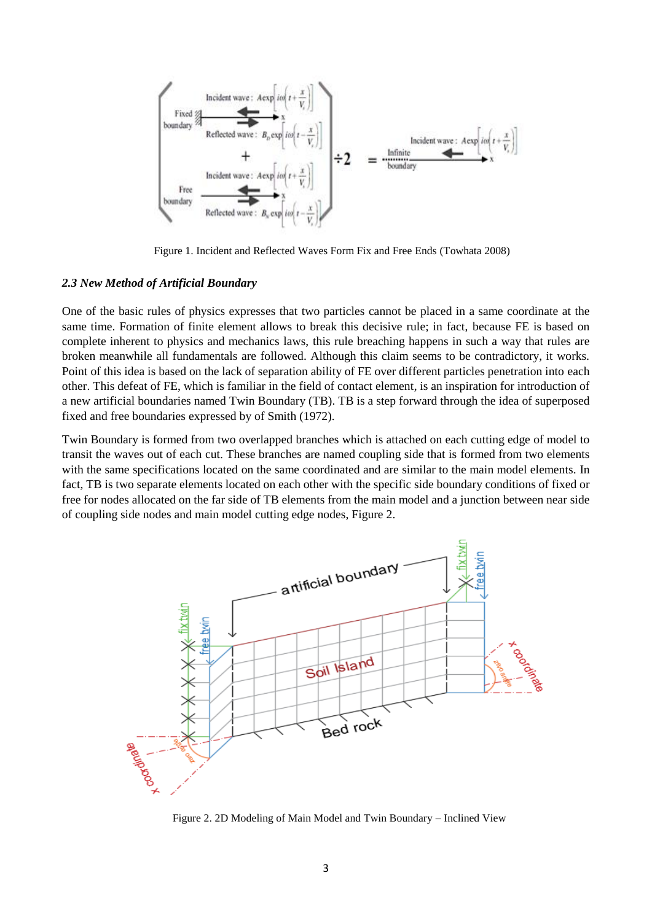

<span id="page-2-0"></span>Figure 1. Incident and Reflected Waves Form Fix and Free Ends (Towhata 2008)

### *2.3 New Method of Artificial Boundary*

One of the basic rules of physics expresses that two particles cannot be placed in a same coordinate at the same time. Formation of finite element allows to break this decisive rule; in fact, because FE is based on complete inherent to physics and mechanics laws, this rule breaching happens in such a way that rules are broken meanwhile all fundamentals are followed. Although this claim seems to be contradictory, it works. Point of this idea is based on the lack of separation ability of FE over different particles penetration into each other. This defeat of FE, which is familiar in the field of contact element, is an inspiration for introduction of a new artificial boundaries named Twin Boundary (TB). TB is a step forward through the idea of superposed fixed and free boundaries expressed by of Smith (1972).

Twin Boundary is formed from two overlapped branches which is attached on each cutting edge of model to transit the waves out of each cut. These branches are named coupling side that is formed from two elements with the same specifications located on the same coordinated and are similar to the main model elements. In fact, TB is two separate elements located on each other with the specific side boundary conditions of fixed or free for nodes allocated on the far side of TB elements from the main model and a junction between near side of coupling side nodes and main model cutting edge nodes[, Figure 2.](#page-2-1)



<span id="page-2-1"></span>Figure 2. 2D Modeling of Main Model and Twin Boundary – Inclined View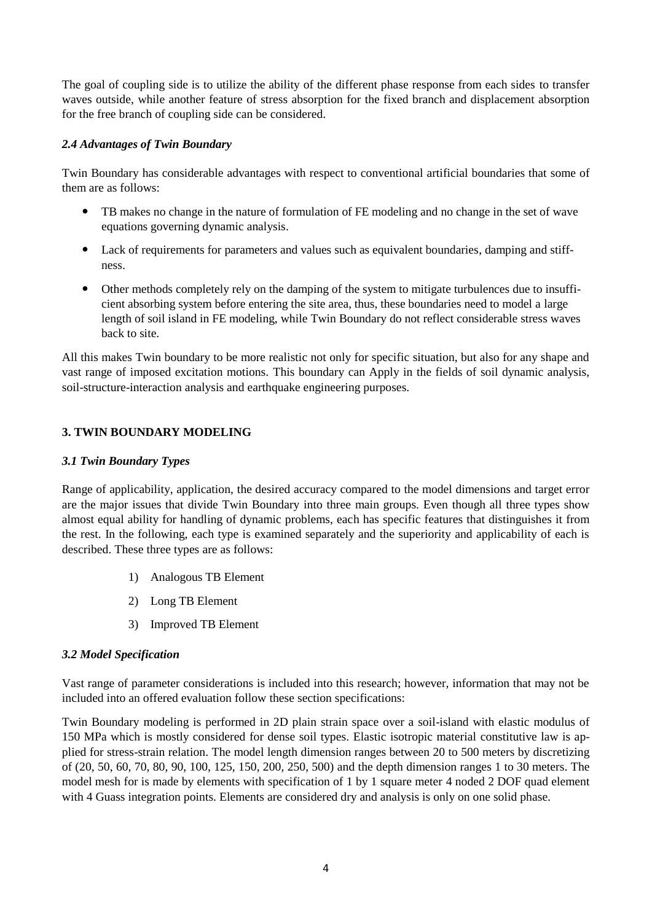The goal of coupling side is to utilize the ability of the different phase response from each sides to transfer waves outside, while another feature of stress absorption for the fixed branch and displacement absorption for the free branch of coupling side can be considered.

# *2.4 Advantages of Twin Boundary*

Twin Boundary has considerable advantages with respect to conventional artificial boundaries that some of them are as follows:

- TB makes no change in the nature of formulation of FE modeling and no change in the set of wave equations governing dynamic analysis.
- Lack of requirements for parameters and values such as equivalent boundaries, damping and stiffness.
- Other methods completely rely on the damping of the system to mitigate turbulences due to insufficient absorbing system before entering the site area, thus, these boundaries need to model a large length of soil island in FE modeling, while Twin Boundary do not reflect considerable stress waves back to site.

All this makes Twin boundary to be more realistic not only for specific situation, but also for any shape and vast range of imposed excitation motions. This boundary can Apply in the fields of soil dynamic analysis, soil-structure-interaction analysis and earthquake engineering purposes.

# **3. TWIN BOUNDARY MODELING**

# *3.1 Twin Boundary Types*

Range of applicability, application, the desired accuracy compared to the model dimensions and target error are the major issues that divide Twin Boundary into three main groups. Even though all three types show almost equal ability for handling of dynamic problems, each has specific features that distinguishes it from the rest. In the following, each type is examined separately and the superiority and applicability of each is described. These three types are as follows:

- 1) Analogous TB Element
- 2) Long TB Element
- 3) Improved TB Element

# *3.2 Model Specification*

Vast range of parameter considerations is included into this research; however, information that may not be included into an offered evaluation follow these section specifications:

Twin Boundary modeling is performed in 2D plain strain space over a soil-island with elastic modulus of 150 MPa which is mostly considered for dense soil types. Elastic isotropic material constitutive law is applied for stress-strain relation. The model length dimension ranges between 20 to 500 meters by discretizing of (20, 50, 60, 70, 80, 90, 100, 125, 150, 200, 250, 500) and the depth dimension ranges 1 to 30 meters. The model mesh for is made by elements with specification of 1 by 1 square meter 4 noded 2 DOF quad element with 4 Guass integration points. Elements are considered dry and analysis is only on one solid phase.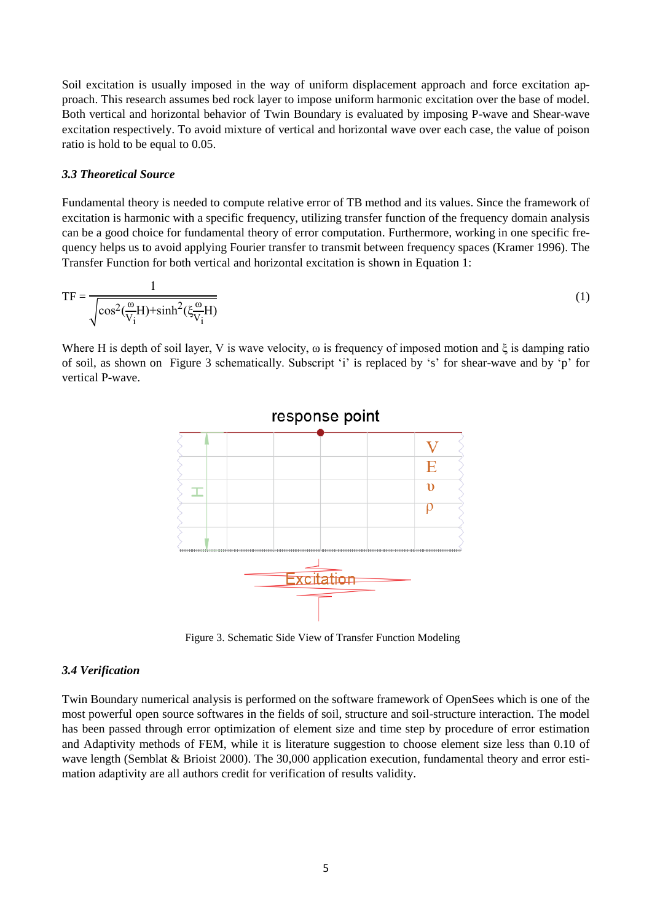Soil excitation is usually imposed in the way of uniform displacement approach and force excitation approach. This research assumes bed rock layer to impose uniform harmonic excitation over the base of model. Both vertical and horizontal behavior of Twin Boundary is evaluated by imposing P-wave and Shear-wave excitation respectively. To avoid mixture of vertical and horizontal wave over each case, the value of poison ratio is hold to be equal to 0.05.

### *3.3 Theoretical Source*

Fundamental theory is needed to compute relative error of TB method and its values. Since the framework of excitation is harmonic with a specific frequency, utilizing transfer function of the frequency domain analysis can be a good choice for fundamental theory of error computation. Furthermore, working in one specific frequency helps us to avoid applying Fourier transfer to transmit between frequency spaces (Kramer 1996). The Transfer Function for both vertical and horizontal excitation is shown in Equation 1:

$$
TF = \frac{1}{\sqrt{\cos^2(\frac{\omega}{V_i}H) + \sinh^2(\xi \frac{\omega}{V_i}H)}}
$$
(1)

Where H is depth of soil layer, V is wave velocity,  $\omega$  is frequency of imposed motion and  $\xi$  is damping ratio of soil, as shown on [Figure 3](#page-4-0) schematically. Subscript 'i' is replaced by 's' for shear-wave and by 'p' for vertical P-wave.



<span id="page-4-0"></span>Figure 3. Schematic Side View of Transfer Function Modeling

### *3.4 Verification*

Twin Boundary numerical analysis is performed on the software framework of OpenSees which is one of the most powerful open source softwares in the fields of soil, structure and soil-structure interaction. The model has been passed through error optimization of element size and time step by procedure of error estimation and Adaptivity methods of FEM, while it is literature suggestion to choose element size less than 0.10 of wave length (Semblat & Brioist 2000). The 30,000 application execution, fundamental theory and error estimation adaptivity are all authors credit for verification of results validity.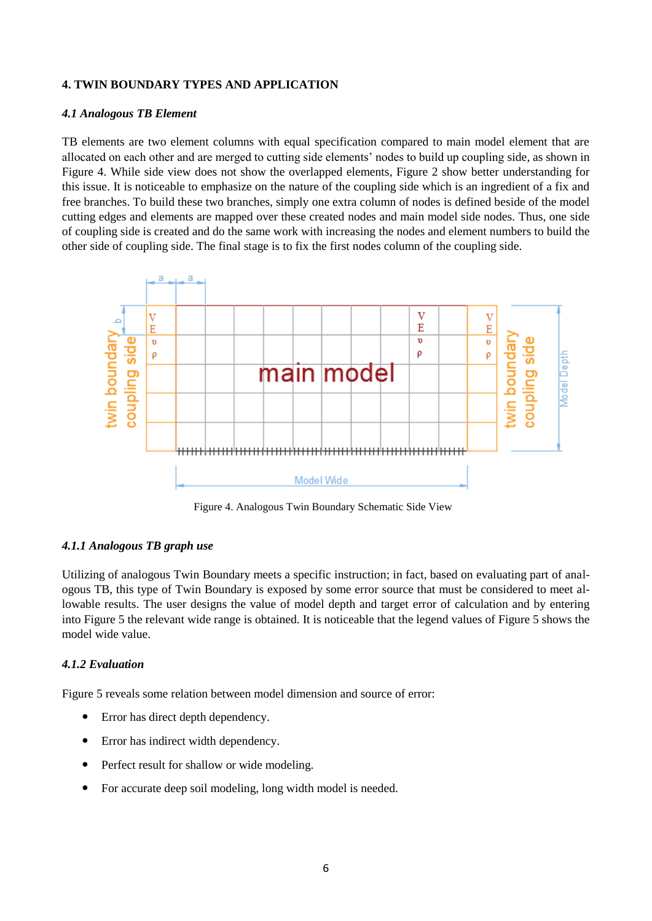## **4. TWIN BOUNDARY TYPES AND APPLICATION**

### *4.1 Analogous TB Element*

TB elements are two element columns with equal specification compared to main model element that are allocated on each other and are merged to cutting side elements' nodes to build up coupling side, as shown in [Figure 4.](#page-5-0) While side view does not show the overlapped elements, [Figure 2](#page-2-1) show better understanding for this issue. It is noticeable to emphasize on the nature of the coupling side which is an ingredient of a fix and free branches. To build these two branches, simply one extra column of nodes is defined beside of the model cutting edges and elements are mapped over these created nodes and main model side nodes. Thus, one side of coupling side is created and do the same work with increasing the nodes and element numbers to build the other side of coupling side. The final stage is to fix the first nodes column of the coupling side.



Figure 4. Analogous Twin Boundary Schematic Side View

### <span id="page-5-0"></span>*4.1.1 Analogous TB graph use*

Utilizing of analogous Twin Boundary meets a specific instruction; in fact, based on evaluating part of analogous TB, this type of Twin Boundary is exposed by some error source that must be considered to meet allowable results. The user designs the value of model depth and target error of calculation and by entering into [Figure 5](#page-6-0) the relevant wide range is obtained. It is noticeable that the legend values of [Figure 5](#page-6-0) shows the model wide value.

### *4.1.2 Evaluation*

[Figure 5](#page-6-0) reveals some relation between model dimension and source of error:

- Error has direct depth dependency.
- Error has indirect width dependency.
- Perfect result for shallow or wide modeling.
- For accurate deep soil modeling, long width model is needed.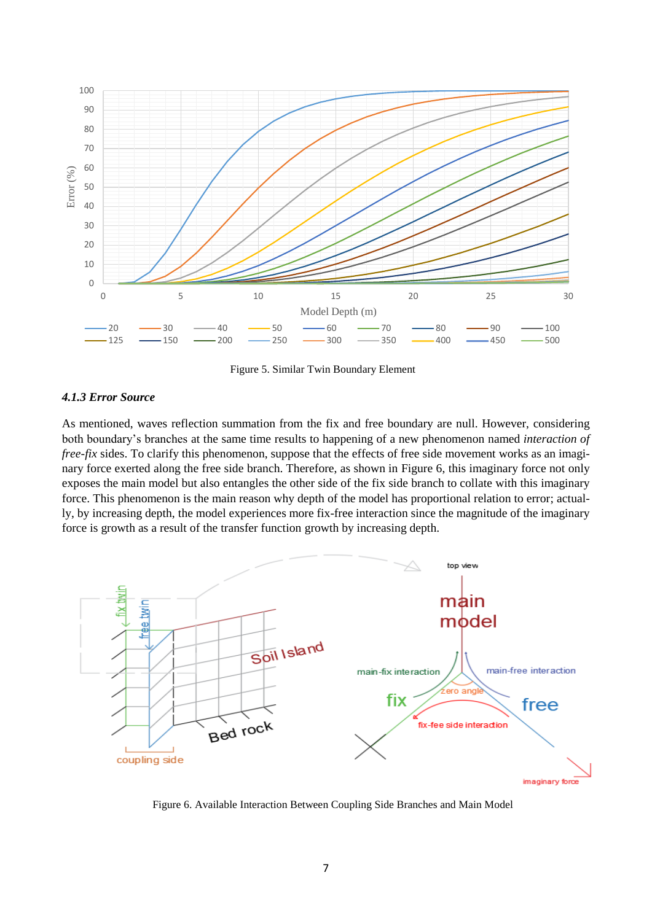

Figure 5. Similar Twin Boundary Element

### <span id="page-6-0"></span>*4.1.3 Error Source*

As mentioned, waves reflection summation from the fix and free boundary are null. However, considering both boundary's branches at the same time results to happening of a new phenomenon named *interaction of free-fix* sides. To clarify this phenomenon, suppose that the effects of free side movement works as an imaginary force exerted along the free side branch. Therefore, as shown in [Figure 6,](#page-6-1) this imaginary force not only exposes the main model but also entangles the other side of the fix side branch to collate with this imaginary force. This phenomenon is the main reason why depth of the model has proportional relation to error; actually, by increasing depth, the model experiences more fix-free interaction since the magnitude of the imaginary force is growth as a result of the transfer function growth by increasing depth.



<span id="page-6-1"></span>Figure 6. Available Interaction Between Coupling Side Branches and Main Model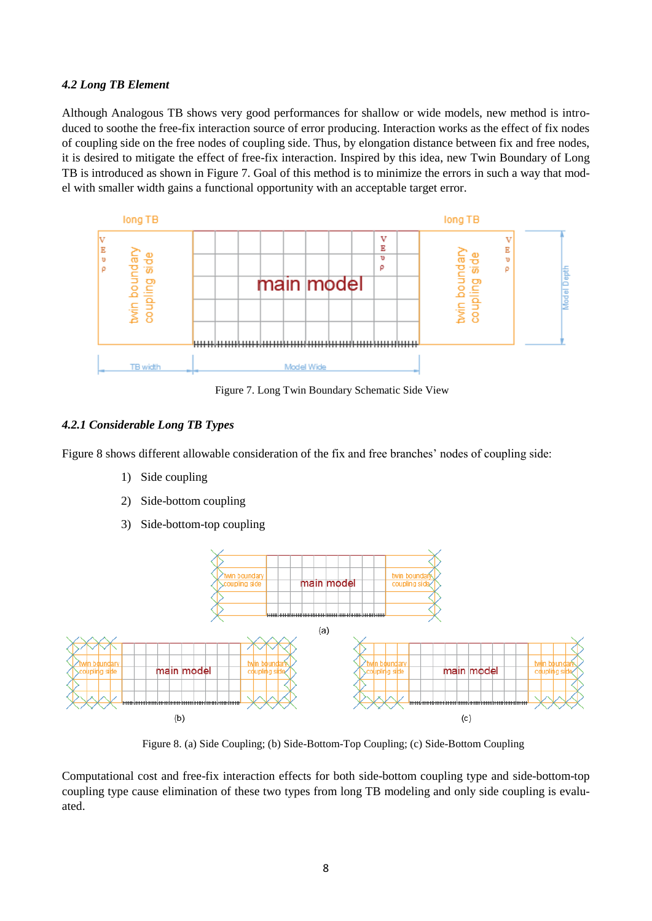### *4.2 Long TB Element*

Although Analogous TB shows very good performances for shallow or wide models, new method is introduced to soothe the free-fix interaction source of error producing. Interaction works as the effect of fix nodes of coupling side on the free nodes of coupling side. Thus, by elongation distance between fix and free nodes, it is desired to mitigate the effect of free-fix interaction. Inspired by this idea, new Twin Boundary of Long TB is introduced as shown in [Figure 7.](#page-7-0) Goal of this method is to minimize the errors in such a way that model with smaller width gains a functional opportunity with an acceptable target error.



Figure 7. Long Twin Boundary Schematic Side View

# <span id="page-7-0"></span>*4.2.1 Considerable Long TB Types*

[Figure 8](#page-7-1) shows different allowable consideration of the fix and free branches' nodes of coupling side:

- 1) Side coupling
- 2) Side-bottom coupling
- 3) Side-bottom-top coupling



Figure 8. (a) Side Coupling; (b) Side-Bottom-Top Coupling; (c) Side-Bottom Coupling

<span id="page-7-1"></span>Computational cost and free-fix interaction effects for both side-bottom coupling type and side-bottom-top coupling type cause elimination of these two types from long TB modeling and only side coupling is evaluated.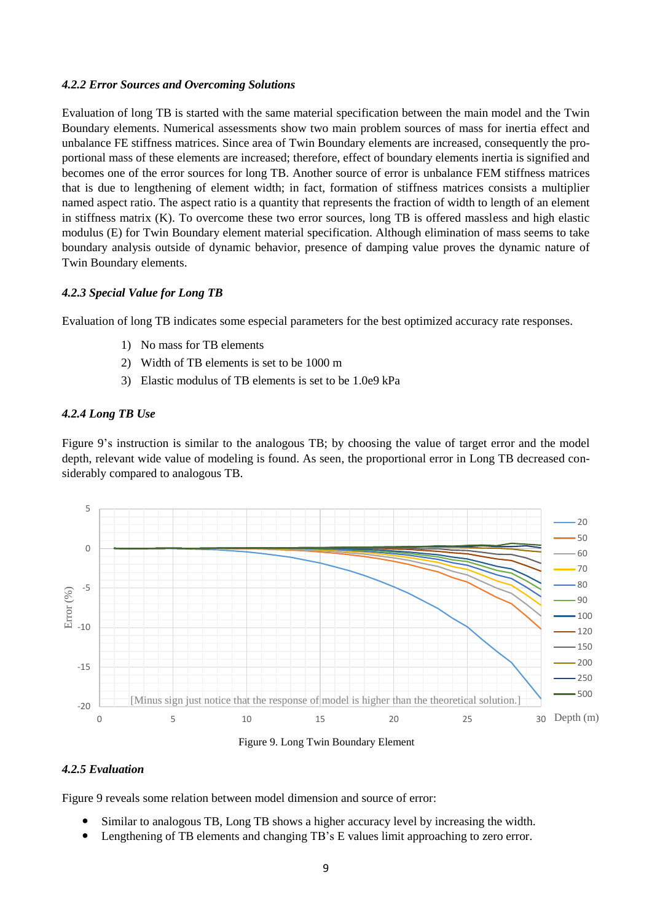#### *4.2.2 Error Sources and Overcoming Solutions*

Evaluation of long TB is started with the same material specification between the main model and the Twin Boundary elements. Numerical assessments show two main problem sources of mass for inertia effect and unbalance FE stiffness matrices. Since area of Twin Boundary elements are increased, consequently the proportional mass of these elements are increased; therefore, effect of boundary elements inertia is signified and becomes one of the error sources for long TB. Another source of error is unbalance FEM stiffness matrices that is due to lengthening of element width; in fact, formation of stiffness matrices consists a multiplier named aspect ratio. The aspect ratio is a quantity that represents the fraction of width to length of an element in stiffness matrix (K). To overcome these two error sources, long TB is offered massless and high elastic modulus (E) for Twin Boundary element material specification. Although elimination of mass seems to take boundary analysis outside of dynamic behavior, presence of damping value proves the dynamic nature of Twin Boundary elements.

### *4.2.3 Special Value for Long TB*

Evaluation of long TB indicates some especial parameters for the best optimized accuracy rate responses.

- 1) No mass for TB elements
- 2) Width of TB elements is set to be 1000 m
- 3) Elastic modulus of TB elements is set to be 1.0e9 kPa

#### *4.2.4 Long TB Use*

[Figure 9'](#page-8-0)s instruction is similar to the analogous TB; by choosing the value of target error and the model depth, relevant wide value of modeling is found. As seen, the proportional error in Long TB decreased considerably compared to analogous TB.



Figure 9. Long Twin Boundary Element

#### <span id="page-8-0"></span>*4.2.5 Evaluation*

[Figure 9](#page-8-0) reveals some relation between model dimension and source of error:

- Similar to analogous TB, Long TB shows a higher accuracy level by increasing the width.
- Lengthening of TB elements and changing TB's E values limit approaching to zero error.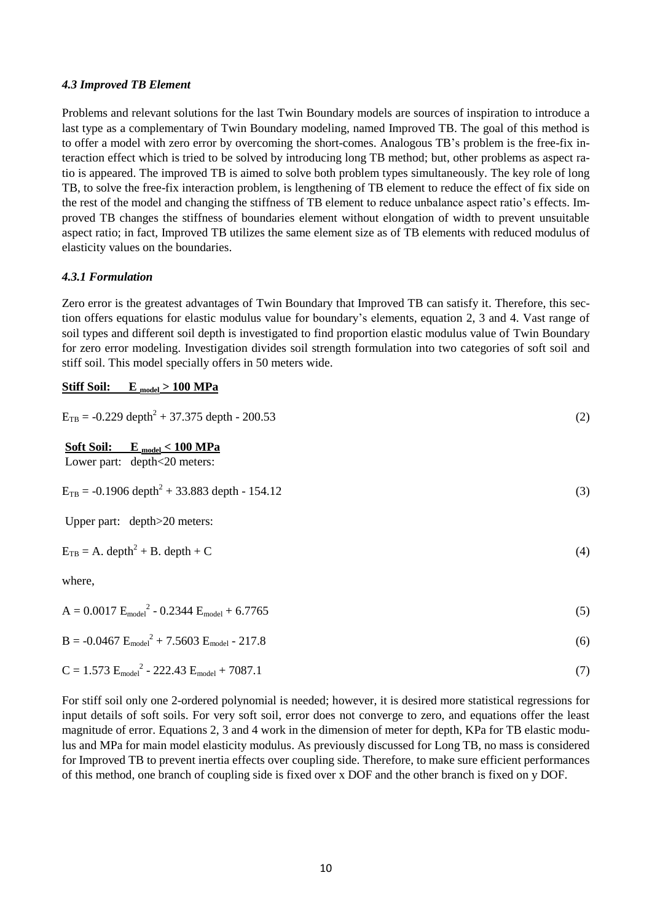### *4.3 Improved TB Element*

Problems and relevant solutions for the last Twin Boundary models are sources of inspiration to introduce a last type as a complementary of Twin Boundary modeling, named Improved TB. The goal of this method is to offer a model with zero error by overcoming the short-comes. Analogous TB's problem is the free-fix interaction effect which is tried to be solved by introducing long TB method; but, other problems as aspect ratio is appeared. The improved TB is aimed to solve both problem types simultaneously. The key role of long TB, to solve the free-fix interaction problem, is lengthening of TB element to reduce the effect of fix side on the rest of the model and changing the stiffness of TB element to reduce unbalance aspect ratio's effects. Improved TB changes the stiffness of boundaries element without elongation of width to prevent unsuitable aspect ratio; in fact, Improved TB utilizes the same element size as of TB elements with reduced modulus of elasticity values on the boundaries.

#### *4.3.1 Formulation*

Zero error is the greatest advantages of Twin Boundary that Improved TB can satisfy it. Therefore, this section offers equations for elastic modulus value for boundary's elements, equation 2, 3 and 4. Vast range of soil types and different soil depth is investigated to find proportion elastic modulus value of Twin Boundary for zero error modeling. Investigation divides soil strength formulation into two categories of soft soil and stiff soil. This model specially offers in 50 meters wide.

#### **Stiff Soil: E model > 100 MPa**

| $E_{TB} = -0.229$ depth <sup>2</sup> + 37.375 depth - 200.53               | (2) |
|----------------------------------------------------------------------------|-----|
| <b>Soft Soil:</b><br>$E_{model} < 100 MPa$<br>Lower part: depth<20 meters: |     |
| $E_{TB} = -0.1906$ depth <sup>2</sup> + 33.883 depth - 154.12              | (3) |
| Upper part: depth>20 meters:                                               |     |
| $E_{TB} = A$ . depth <sup>2</sup> + B. depth + C                           | (4) |
| where,                                                                     |     |
| $A = 0.0017 E_{model}^2 - 0.2344 E_{model} + 6.7765$                       | (5) |
| $B = -0.0467 E_{model}^2 + 7.5603 E_{model} - 217.8$                       | (6) |

$$
C = 1.573 E_{model}^2 - 222.43 E_{model} + 7087.1
$$
 (7)

For stiff soil only one 2-ordered polynomial is needed; however, it is desired more statistical regressions for input details of soft soils. For very soft soil, error does not converge to zero, and equations offer the least magnitude of error. Equations 2, 3 and 4 work in the dimension of meter for depth, KPa for TB elastic modulus and MPa for main model elasticity modulus. As previously discussed for Long TB, no mass is considered for Improved TB to prevent inertia effects over coupling side. Therefore, to make sure efficient performances of this method, one branch of coupling side is fixed over x DOF and the other branch is fixed on y DOF.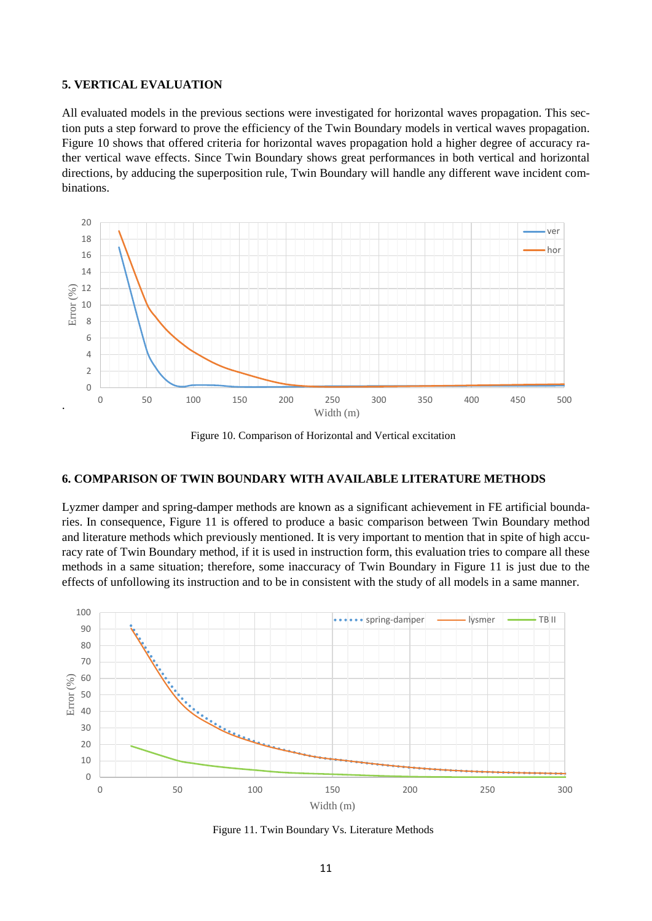### **5. VERTICAL EVALUATION**

All evaluated models in the previous sections were investigated for horizontal waves propagation. This section puts a step forward to prove the efficiency of the Twin Boundary models in vertical waves propagation. [Figure](#page-10-0) 10 shows that offered criteria for horizontal waves propagation hold a higher degree of accuracy rather vertical wave effects. Since Twin Boundary shows great performances in both vertical and horizontal directions, by adducing the superposition rule, Twin Boundary will handle any different wave incident combinations.



Figure 10. Comparison of Horizontal and Vertical excitation

#### <span id="page-10-0"></span>**6. COMPARISON OF TWIN BOUNDARY WITH AVAILABLE LITERATURE METHODS**

Lyzmer damper and spring-damper methods are known as a significant achievement in FE artificial boundaries. In consequence, [Figure 11](#page-10-1) is offered to produce a basic comparison between Twin Boundary method and literature methods which previously mentioned. It is very important to mention that in spite of high accuracy rate of Twin Boundary method, if it is used in instruction form, this evaluation tries to compare all these methods in a same situation; therefore, some inaccuracy of Twin Boundary in [Figure 11](#page-10-1) is just due to the effects of unfollowing its instruction and to be in consistent with the study of all models in a same manner.



<span id="page-10-1"></span>Figure 11. Twin Boundary Vs. Literature Methods